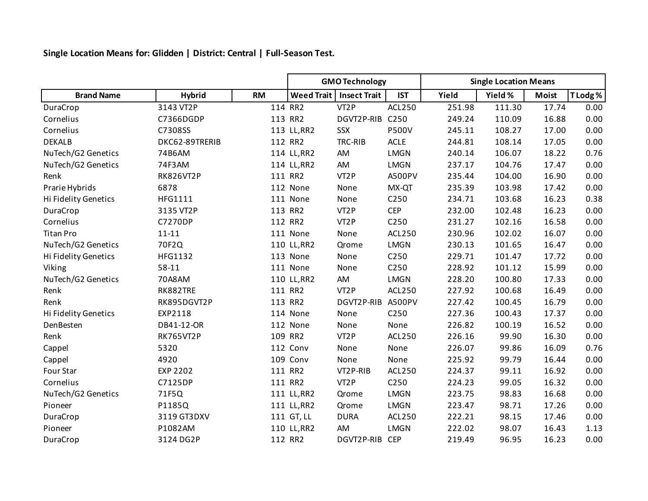**Single Location Means for: Glidden | District: Central | Full-Season Test.**

|                      |                  |           | <b>GMO Technology</b> |                     |                  | <b>Single Location Means</b> |         |              |          |
|----------------------|------------------|-----------|-----------------------|---------------------|------------------|------------------------------|---------|--------------|----------|
| <b>Brand Name</b>    | <b>Hybrid</b>    | <b>RM</b> | <b>Weed Trait</b>     | <b>Insect Trait</b> | <b>IST</b>       | Yield                        | Yield % | <b>Moist</b> | T Lodg % |
| DuraCrop             | 3143 VT2P        |           | 114 RR2               | VT <sub>2</sub> P   | <b>ACL250</b>    | 251.98                       | 111.30  | 17.74        | 0.00     |
| Cornelius            | C7366DGDP        |           | 113 RR2               | DGVT2P-RIB          | C <sub>250</sub> | 249.24                       | 110.09  | 16.88        | 0.00     |
| Cornelius            | C7308SS          |           | 113 LL, RR2           | SSX                 | <b>P500V</b>     | 245.11                       | 108.27  | 17.00        | 0.00     |
| <b>DEKALB</b>        | DKC62-89TRERIB   |           | 112 RR2               | TRC-RIB             | <b>ACLE</b>      | 244.81                       | 108.14  | 17.05        | 0.00     |
| NuTech/G2 Genetics   | 74B6AM           |           | 114 LL, RR2           | AM                  | <b>LMGN</b>      | 240.14                       | 106.07  | 18.22        | 0.76     |
| NuTech/G2 Genetics   | 74F3AM           |           | 114 LL, RR2           | AM                  | <b>LMGN</b>      | 237.17                       | 104.76  | 17.47        | 0.00     |
| Renk                 | <b>RK826VT2P</b> |           | 111 RR2               | VT <sub>2</sub> P   | A500PV           | 235.44                       | 104.00  | 16.90        | 0.00     |
| Prarie Hybrids       | 6878             |           | 112 None              | None                | MX-QT            | 235.39                       | 103.98  | 17.42        | 0.00     |
| Hi Fidelity Genetics | HFG1111          |           | 111 None              | None                | C250             | 234.71                       | 103.68  | 16.23        | 0.38     |
| DuraCrop             | 3135 VT2P        |           | 113 RR2               | VT <sub>2</sub> P   | <b>CEP</b>       | 232.00                       | 102.48  | 16.23        | 0.00     |
| Cornelius            | C7270DP          |           | 112 RR2               | VT <sub>2</sub> P   | C <sub>250</sub> | 231.27                       | 102.16  | 16.58        | 0.00     |
| <b>Titan Pro</b>     | $11 - 11$        |           | 111 None              | None                | <b>ACL250</b>    | 230.96                       | 102.02  | 16.07        | 0.00     |
| NuTech/G2 Genetics   | 70F2Q            |           | 110 LL, RR2           | Qrome               | LMGN             | 230.13                       | 101.65  | 16.47        | 0.00     |
| Hi Fidelity Genetics | HFG1132          |           | 113 None              | None                | C250             | 229.71                       | 101.47  | 17.72        | 0.00     |
| Viking               | 58-11            |           | 111 None              | None                | C250             | 228.92                       | 101.12  | 15.99        | 0.00     |
| NuTech/G2 Genetics   | 70A8AM           |           | 110 LL, RR2           | AM                  | <b>LMGN</b>      | 228.20                       | 100.80  | 17.33        | 0.00     |
| Renk                 | RK882TRE         |           | 111 RR2               | VT <sub>2</sub> P   | ACL250           | 227.92                       | 100.68  | 16.49        | 0.00     |
| Renk                 | RK895DGVT2P      |           | 113 RR2               | DGVT2P-RIB          | A500PV           | 227.42                       | 100.45  | 16.79        | 0.00     |
| Hi Fidelity Genetics | EXP2118          |           | 114 None              | None                | C250             | 227.36                       | 100.43  | 17.37        | 0.00     |
| DenBesten            | DB41-12-OR       |           | 112 None              | None                | None             | 226.82                       | 100.19  | 16.52        | 0.00     |
| Renk                 | <b>RK765VT2P</b> |           | 109 RR2               | VT <sub>2</sub> P   | <b>ACL250</b>    | 226.16                       | 99.90   | 16.30        | 0.00     |
| Cappel               | 5320             |           | 112 Conv              | None                | None             | 226.07                       | 99.86   | 16.09        | 0.76     |
| Cappel               | 4920             |           | 109 Conv              | None                | None             | 225.92                       | 99.79   | 16.44        | 0.00     |
| Four Star            | <b>EXP 2202</b>  |           | 111 RR2               | VT2P-RIB            | <b>ACL250</b>    | 224.37                       | 99.11   | 16.92        | 0.00     |
| Cornelius            | C7125DP          |           | 111 RR2               | VT <sub>2</sub> P   | C250             | 224.23                       | 99.05   | 16.32        | 0.00     |
| NuTech/G2 Genetics   | 71F5Q            |           | 111 LL, RR2           | Qrome               | <b>LMGN</b>      | 223.75                       | 98.83   | 16.68        | 0.00     |
| Pioneer              | P1185Q           |           | 111 LL, RR2           | Qrome               | <b>LMGN</b>      | 223.47                       | 98.71   | 17.26        | 0.00     |
| DuraCrop             | 3119 GT3DXV      |           | 111 GT, LL            | <b>DURA</b>         | ACL250           | 222.21                       | 98.15   | 17.46        | 0.00     |
| Pioneer              | P1082AM          |           | 110 LL, RR2           | AM                  | <b>LMGN</b>      | 222.02                       | 98.07   | 16.43        | 1.13     |
| DuraCrop             | 3124 DG2P        |           | 112 RR2               | DGVT2P-RIB          | <b>CEP</b>       | 219.49                       | 96.95   | 16.23        | 0.00     |